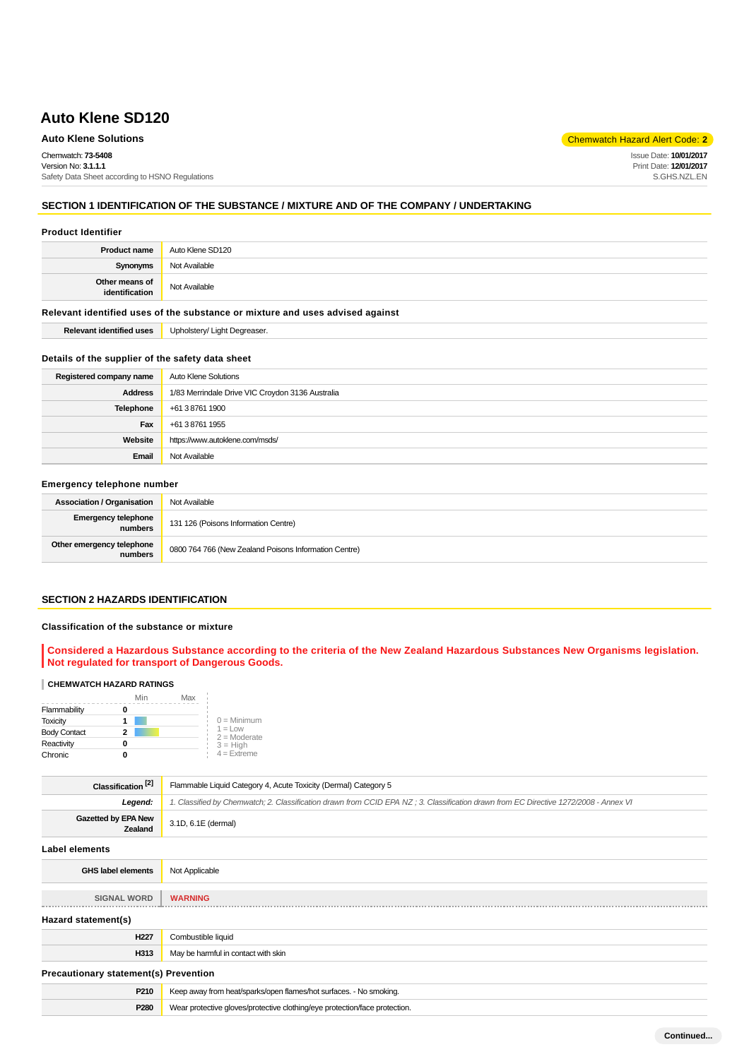## **Auto Klene Solutions** Chemwatch Hazard Alert Code: **2**

Chemwatch: **73-5408** Version No: **3.1.1.1** Safety Data Sheet according to HSNO Regulations Issue Date: **10/01/2017** Print Date: **12/01/2017** S.GHS.NZL.EN

# **SECTION 1 IDENTIFICATION OF THE SUBSTANCE / MIXTURE AND OF THE COMPANY / UNDERTAKING**

#### **Product Identifier**

| <b>Product name</b>              | Auto Klene SD120 |
|----------------------------------|------------------|
| Synonyms                         | Not Available    |
| Other means of<br>identification | Not Available    |

#### **Relevant identified uses of the substance or mixture and uses advised against**

**Relevant identified uses** Upholstery/ Light Degreaser.

#### **Details of the supplier of the safety data sheet**

| Registered company name | Auto Klene Solutions                             |
|-------------------------|--------------------------------------------------|
| <b>Address</b>          | 1/83 Merrindale Drive VIC Croydon 3136 Australia |
| Telephone               | +61 3 8761 1900                                  |
| Fax                     | +61 3 8761 1955                                  |
| Website                 | https://www.autoklene.com/msds/                  |
| Email                   | Not Available                                    |

### **Emergency telephone number**

| <b>Association / Organisation</b>     | Not Available                                         |
|---------------------------------------|-------------------------------------------------------|
| <b>Emergency telephone</b><br>numbers | 131 126 (Poisons Information Centre)                  |
| Other emergency telephone<br>numbers  | 0800 764 766 (New Zealand Poisons Information Centre) |

## **SECTION 2 HAZARDS IDENTIFICATION**

#### **Classification of the substance or mixture**

**Considered a Hazardous Substance according to the criteria of the New Zealand Hazardous Substances New Organisms legislation. Not regulated for transport of Dangerous Goods.**

#### **CHEMWATCH HAZARD RATINGS**

|                     | Min | Max |                              |
|---------------------|-----|-----|------------------------------|
| Flammability        |     |     |                              |
| <b>Toxicity</b>     |     |     | $0 =$ Minimum                |
| <b>Body Contact</b> | 2   |     | $1 = 1$ ow<br>$2 =$ Moderate |
| Reactivity          |     |     | $3 = High$                   |
| Chronic             |     |     | $4 =$ Extreme                |

| Classification <sup>[2]</sup>         | Flammable Liquid Category 4, Acute Toxicity (Dermal) Category 5                                                                      |  |
|---------------------------------------|--------------------------------------------------------------------------------------------------------------------------------------|--|
| Legend:                               | 1. Classified by Chemwatch; 2. Classification drawn from CCID EPA NZ; 3. Classification drawn from EC Directive 1272/2008 - Annex VI |  |
| <b>Gazetted by EPA New</b><br>Zealand | 3.1D, 6.1E (dermal)                                                                                                                  |  |
| <b>Label elements</b>                 |                                                                                                                                      |  |
| <b>GHS label elements</b>             | Not Applicable                                                                                                                       |  |
| <b>SIGNAL WORD</b>                    | <b>WARNING</b>                                                                                                                       |  |
| Hazard statement(s)                   |                                                                                                                                      |  |
| H <sub>227</sub>                      | Combustible liquid                                                                                                                   |  |

| 1144 L                                       | <b>COLLIDASING IIDAI</b>                                                   |  |
|----------------------------------------------|----------------------------------------------------------------------------|--|
| H313                                         | May be harmful in contact with skin                                        |  |
| <b>Precautionary statement(s) Prevention</b> |                                                                            |  |
| P210                                         | Keep away from heat/sparks/open flames/hot surfaces. - No smoking.         |  |
| P <sub>280</sub>                             | Wear protective gloves/protective clothing/eye protection/face protection. |  |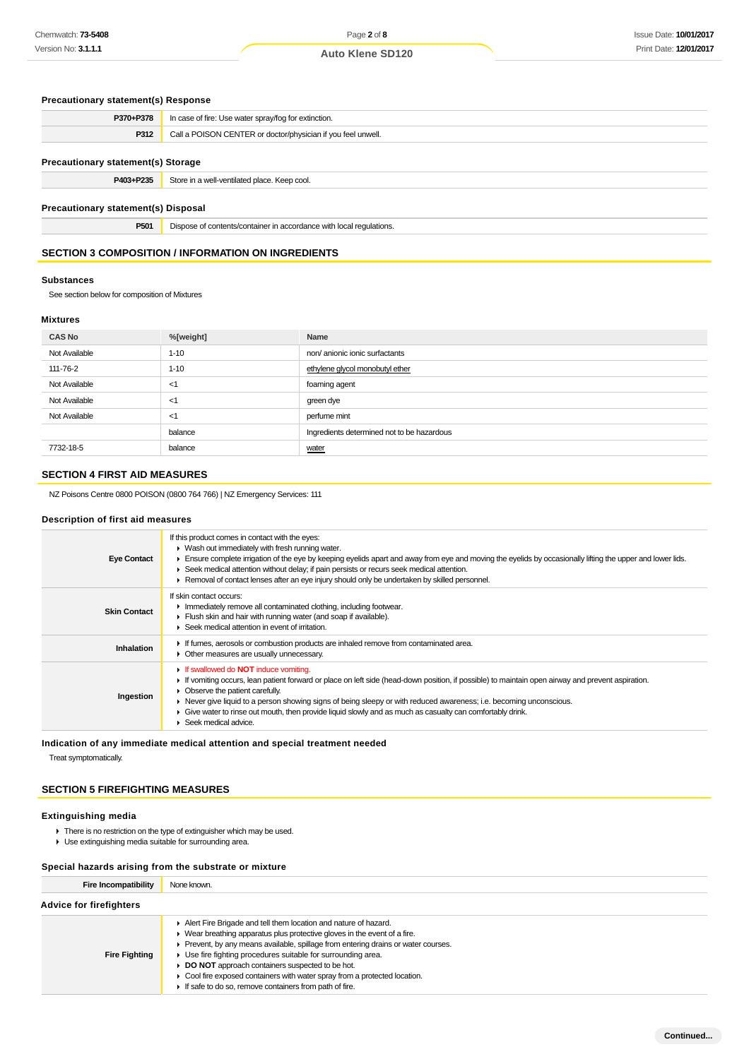# **Precautionary statement(s) Response**

| P370+P378                           | In case of fire: Use water spray/fog for extinction.                |  |
|-------------------------------------|---------------------------------------------------------------------|--|
| P312                                | Call a POISON CENTER or doctor/physician if you feel unwell.        |  |
| Precautionary statement(s) Storage  |                                                                     |  |
| P403+P235                           | Store in a well-ventilated place. Keep cool.                        |  |
| Precautionary statement(s) Disposal |                                                                     |  |
| P501                                | Dispose of contents/container in accordance with local regulations. |  |

## **SECTION 3 COMPOSITION / INFORMATION ON INGREDIENTS**

#### **Substances**

See section below for composition of Mixtures

#### **Mixtures**

| <b>CAS No</b> | %[weight] | Name                                       |
|---------------|-----------|--------------------------------------------|
| Not Available | $1 - 10$  | non/ anionic ionic surfactants             |
| 111-76-2      | $1 - 10$  | ethylene glycol monobutyl ether            |
| Not Available | -1        | foaming agent                              |
| Not Available | -<1       | green dye                                  |
| Not Available | -<1       | perfume mint                               |
|               | balance   | Ingredients determined not to be hazardous |
| 7732-18-5     | balance   | water                                      |

## **SECTION 4 FIRST AID MEASURES**

NZ Poisons Centre 0800 POISON (0800 764 766) | NZ Emergency Services: 111

#### **Description of first aid measures**

| <b>Eye Contact</b>  | If this product comes in contact with the eyes:<br>$\blacktriangleright$ Wash out immediately with fresh running water.<br>Ensure complete irrigation of the eye by keeping eyelids apart and away from eye and moving the eyelids by occasionally lifting the upper and lower lids.<br>► Seek medical attention without delay; if pain persists or recurs seek medical attention.<br>Removal of contact lenses after an eye injury should only be undertaken by skilled personnel.                                                 |
|---------------------|-------------------------------------------------------------------------------------------------------------------------------------------------------------------------------------------------------------------------------------------------------------------------------------------------------------------------------------------------------------------------------------------------------------------------------------------------------------------------------------------------------------------------------------|
| <b>Skin Contact</b> | If skin contact occurs:<br>In mediately remove all contaminated clothing, including footwear.<br>Flush skin and hair with running water (and soap if available).<br>$\blacktriangleright$ Seek medical attention in event of irritation.                                                                                                                                                                                                                                                                                            |
| Inhalation          | If fumes, aerosols or combustion products are inhaled remove from contaminated area.<br>• Other measures are usually unnecessary.                                                                                                                                                                                                                                                                                                                                                                                                   |
| Ingestion           | <b>If swallowed do NOT induce vomiting.</b><br>If vomiting occurs, lean patient forward or place on left side (head-down position, if possible) to maintain open airway and prevent aspiration.<br>$\triangleright$ Observe the patient carefully.<br>► Never give liquid to a person showing signs of being sleepy or with reduced awareness; i.e. becoming unconscious.<br>Give water to rinse out mouth, then provide liquid slowly and as much as casualty can comfortably drink.<br>$\blacktriangleright$ Seek medical advice. |

## **Indication of any immediate medical attention and special treatment needed**

Treat symptomatically.

## **SECTION 5 FIREFIGHTING MEASURES**

#### **Extinguishing media**

- $\blacktriangleright$  There is no restriction on the type of extinguisher which may be used.
- Use extinguishing media suitable for surrounding area.

#### **Special hazards arising from the substrate or mixture**

| <b>Fire Incompatibility</b>    | None known.                                                                                                                                                                                                                                                                                                                                                                                                                                                                                  |  |
|--------------------------------|----------------------------------------------------------------------------------------------------------------------------------------------------------------------------------------------------------------------------------------------------------------------------------------------------------------------------------------------------------------------------------------------------------------------------------------------------------------------------------------------|--|
| <b>Advice for firefighters</b> |                                                                                                                                                                                                                                                                                                                                                                                                                                                                                              |  |
| <b>Fire Fighting</b>           | Alert Fire Brigade and tell them location and nature of hazard.<br>• Wear breathing apparatus plus protective gloves in the event of a fire.<br>Prevent, by any means available, spillage from entering drains or water courses.<br>• Use fire fighting procedures suitable for surrounding area.<br>DO NOT approach containers suspected to be hot.<br>• Cool fire exposed containers with water spray from a protected location.<br>If safe to do so, remove containers from path of fire. |  |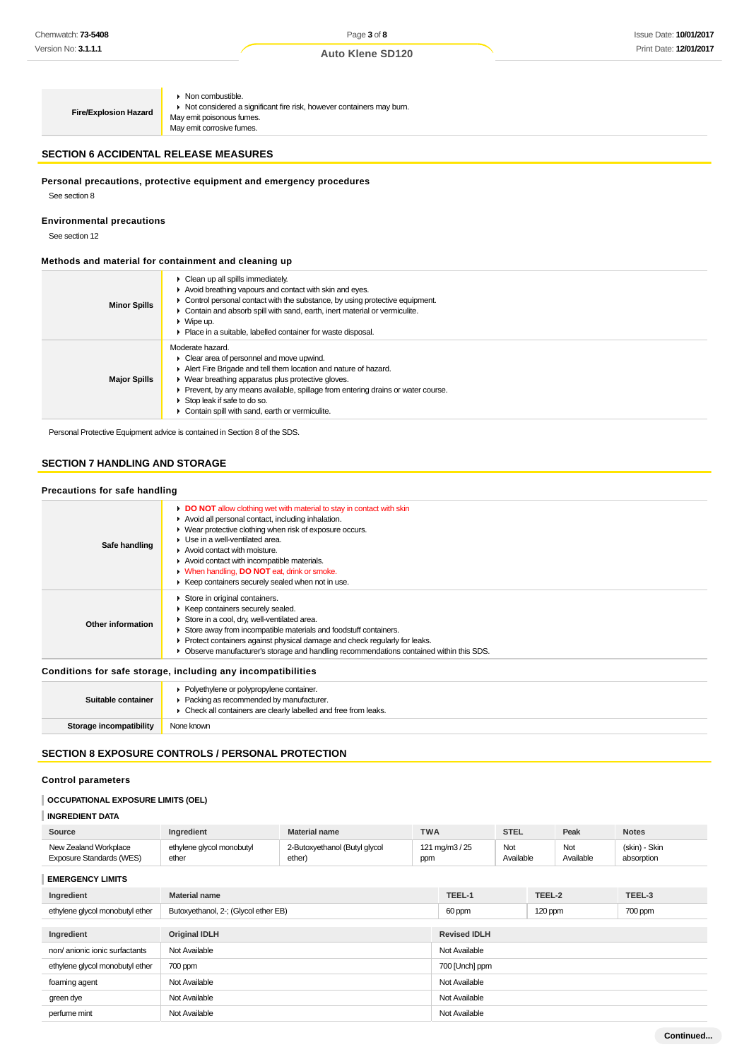**Fire/Explosion Hazard**

• Non combustible. Not considered a significant fire risk, however containers may burn.

May emit poisonous fumes. May emit corrosive fumes.

#### **SECTION 6 ACCIDENTAL RELEASE MEASURES**

## **Personal precautions, protective equipment and emergency procedures**

See section 8

#### **Environmental precautions**

See section 12

#### **Methods and material for containment and cleaning up**

| $\triangleright$ Clean up all spills immediately.<br>Avoid breathing vapours and contact with skin and eyes.<br>• Control personal contact with the substance, by using protective equipment.<br>• Contain and absorb spill with sand, earth, inert material or vermiculite.<br>$\triangleright$ Wipe up.<br>▶ Place in a suitable, labelled container for waste disposal.                                   |
|--------------------------------------------------------------------------------------------------------------------------------------------------------------------------------------------------------------------------------------------------------------------------------------------------------------------------------------------------------------------------------------------------------------|
| Moderate hazard.<br>$\triangleright$ Clear area of personnel and move upwind.<br>Alert Fire Brigade and tell them location and nature of hazard.<br>$\triangleright$ Wear breathing apparatus plus protective gloves.<br>• Prevent, by any means available, spillage from entering drains or water course.<br>$\triangleright$ Stop leak if safe to do so.<br>Contain spill with sand, earth or vermiculite. |
|                                                                                                                                                                                                                                                                                                                                                                                                              |

Personal Protective Equipment advice is contained in Section 8 of the SDS.

# **SECTION 7 HANDLING AND STORAGE**

#### **Precautions for safe handling**

| Safe handling                                                | DO NOT allow clothing wet with material to stay in contact with skin<br>Avoid all personal contact, including inhalation.<br>• Wear protective clothing when risk of exposure occurs.<br>$\blacktriangleright$ Use in a well-ventilated area.<br>$\blacktriangleright$ Avoid contact with moisture.<br>Avoid contact with incompatible materials.<br>V When handling, DO NOT eat, drink or smoke.<br>▶ Keep containers securely sealed when not in use. |  |
|--------------------------------------------------------------|---------------------------------------------------------------------------------------------------------------------------------------------------------------------------------------------------------------------------------------------------------------------------------------------------------------------------------------------------------------------------------------------------------------------------------------------------------|--|
| Other information                                            | Store in original containers.<br>▶ Keep containers securely sealed.<br>Store in a cool, dry, well-ventilated area.<br>Store away from incompatible materials and foodstuff containers.<br>• Protect containers against physical damage and check regularly for leaks.<br>Observe manufacturer's storage and handling recommendations contained within this SDS.                                                                                         |  |
| Conditions for safe storage, including any incompatibilities |                                                                                                                                                                                                                                                                                                                                                                                                                                                         |  |
|                                                              |                                                                                                                                                                                                                                                                                                                                                                                                                                                         |  |

| Suitable container      | • Polyethylene or polypropylene container.<br>▶ Packing as recommended by manufacturer.<br>• Check all containers are clearly labelled and free from leaks. |
|-------------------------|-------------------------------------------------------------------------------------------------------------------------------------------------------------|
| Storage incompatibility | None known                                                                                                                                                  |

# **SECTION 8 EXPOSURE CONTROLS / PERSONAL PROTECTION**

# **Control parameters**

#### **OCCUPATIONAL EXPOSURE LIMITS (OEL)**

# **INGREDIENT DATA**

| Source                   | <b>Inaredient</b>         | Material name                 | <b>TWA</b>     | <b>STEL</b> | Peak      | <b>Notes</b>  |
|--------------------------|---------------------------|-------------------------------|----------------|-------------|-----------|---------------|
| New Zealand Workplace    | ethylene glycol monobutyl | 2-Butoxyethanol (Butyl glycol | 121 mg/m3 / 25 | Not         | Not       | (skin) - Skin |
| Exposure Standards (WES) | ether                     | ether)                        | ppm            | Available   | Available | absorption    |

**EMERGENCY LIMITS**

| Ingredient                      | <b>Material name</b>                 | TEEL-1              | TEEL-2  | TEEL-3  |
|---------------------------------|--------------------------------------|---------------------|---------|---------|
| ethylene glycol monobutyl ether | Butoxyethanol, 2-; (Glycol ether EB) | 60 ppm              | 120 ppm | 700 ppm |
|                                 |                                      |                     |         |         |
| Ingredient                      | <b>Original IDLH</b>                 | <b>Revised IDLH</b> |         |         |
| non/ anionic ionic surfactants  | Not Available                        | Not Available       |         |         |
| ethylene glycol monobutyl ether | 700 ppm                              | 700 [Unch] ppm      |         |         |
| foaming agent                   | Not Available                        | Not Available       |         |         |
| green dye                       | Not Available                        | Not Available       |         |         |
| perfume mint                    | Not Available                        | Not Available       |         |         |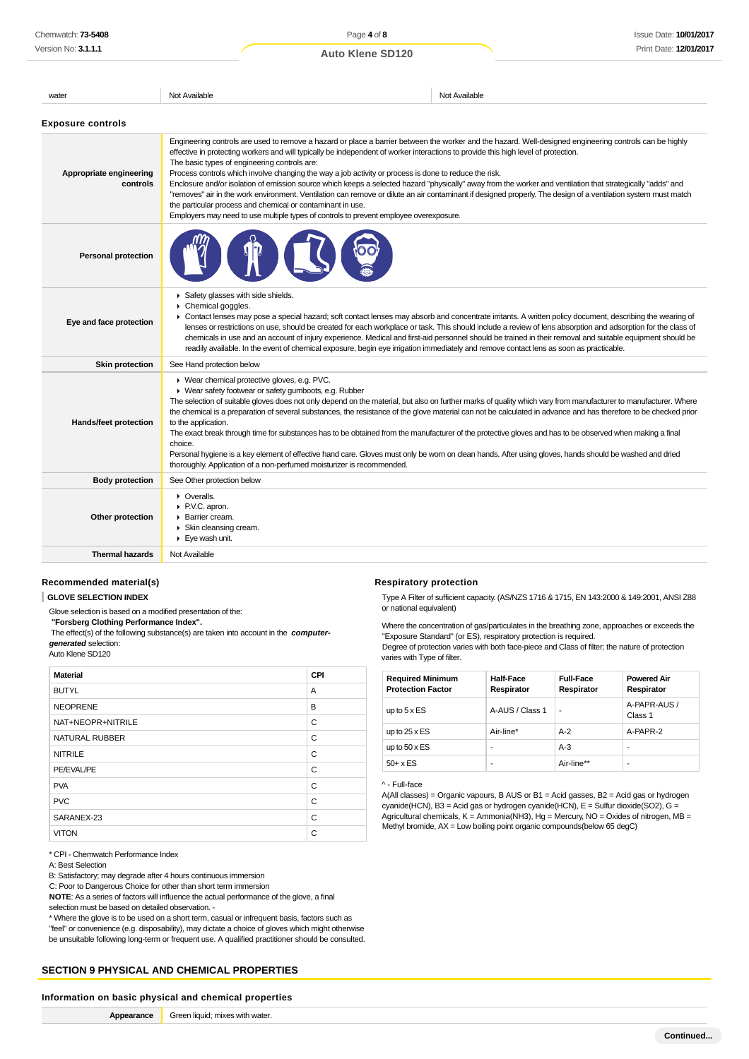Issue Date: **10/01/2017** Print Date: **12/01/2017**

| water                               | Not Available                                                                                                                                                                                                                                                                                                                                                                                                                                                                                                                                                                                                                                                                                                                                                                                                                                                                                                                                   | Not Available |  |
|-------------------------------------|-------------------------------------------------------------------------------------------------------------------------------------------------------------------------------------------------------------------------------------------------------------------------------------------------------------------------------------------------------------------------------------------------------------------------------------------------------------------------------------------------------------------------------------------------------------------------------------------------------------------------------------------------------------------------------------------------------------------------------------------------------------------------------------------------------------------------------------------------------------------------------------------------------------------------------------------------|---------------|--|
| <b>Exposure controls</b>            |                                                                                                                                                                                                                                                                                                                                                                                                                                                                                                                                                                                                                                                                                                                                                                                                                                                                                                                                                 |               |  |
| Appropriate engineering<br>controls | Engineering controls are used to remove a hazard or place a barrier between the worker and the hazard. Well-designed engineering controls can be highly<br>effective in protecting workers and will typically be independent of worker interactions to provide this high level of protection.<br>The basic types of engineering controls are:<br>Process controls which involve changing the way a job activity or process is done to reduce the risk.<br>Enclosure and/or isolation of emission source which keeps a selected hazard "physically" away from the worker and ventilation that strategically "adds" and<br>"removes" air in the work environment. Ventilation can remove or dilute an air contaminant if designed properly. The design of a ventilation system must match<br>the particular process and chemical or contaminant in use.<br>Employers may need to use multiple types of controls to prevent employee overexposure. |               |  |
| <b>Personal protection</b>          |                                                                                                                                                                                                                                                                                                                                                                                                                                                                                                                                                                                                                                                                                                                                                                                                                                                                                                                                                 |               |  |
| Eye and face protection             | Safety glasses with side shields.<br>Chemical goggles.<br>• Contact lenses may pose a special hazard; soft contact lenses may absorb and concentrate irritants. A written policy document, describing the wearing of<br>lenses or restrictions on use, should be created for each workplace or task. This should include a review of lens absorption and adsorption for the class of<br>chemicals in use and an account of injury experience. Medical and first-aid personnel should be trained in their removal and suitable equipment should be<br>readily available. In the event of chemical exposure, begin eye irrigation immediately and remove contact lens as soon as practicable.                                                                                                                                                                                                                                                     |               |  |
| <b>Skin protection</b>              | See Hand protection below                                                                                                                                                                                                                                                                                                                                                                                                                                                                                                                                                                                                                                                                                                                                                                                                                                                                                                                       |               |  |
| Hands/feet protection               | ▶ Wear chemical protective gloves, e.g. PVC.<br>• Wear safety footwear or safety gumboots, e.g. Rubber<br>The selection of suitable gloves does not only depend on the material, but also on further marks of quality which vary from manufacturer to manufacturer. Where<br>the chemical is a preparation of several substances, the resistance of the glove material can not be calculated in advance and has therefore to be checked prior<br>to the application.<br>The exact break through time for substances has to be obtained from the manufacturer of the protective gloves and has to be observed when making a final<br>choice                                                                                                                                                                                                                                                                                                      |               |  |

thoroughly. Application of a non-perfumed moisturizer is recommended.

**Thermal hazards** Not Available

**Body protection** See Other protection below

**C** Overalls ▶ P.V.C. apron. Barrier cream. Skin cleansing cream. Eye wash unit.

## **Recommended material(s)**

**GLOVE SELECTION INDEX**

Glove selection is based on a modified presentation of the:

 **"Forsberg Clothing Performance Index".**

**Other protection**

The effect(s) of the following substance(s) are taken into account in the **computergenerated** selection:

Auto Klene SD120

| <b>Material</b>   | CPI |
|-------------------|-----|
| <b>BUTYL</b>      | A   |
| <b>NEOPRENE</b>   | B   |
| NAT+NEOPR+NITRILE | C   |
| NATURAL RUBBER    | C   |
| <b>NITRILE</b>    | C   |
| PE/EVAL/PE        | C   |
| <b>PVA</b>        | C   |
| <b>PVC</b>        | C   |
| SARANEX-23        | C   |
| <b>VITON</b>      | C   |

\* CPI - Chemwatch Performance Index

A: Best Selection

B: Satisfactory; may degrade after 4 hours continuous immersion

C: Poor to Dangerous Choice for other than short term immersion

**NOTE**: As a series of factors will influence the actual performance of the glove, a final selection must be based on detailed observation. -

\* Where the glove is to be used on a short term, casual or infrequent basis, factors such as

"feel" or convenience (e.g. disposability), may dictate a choice of gloves which might otherwise be unsuitable following long-term or frequent use. A qualified practitioner should be consulted.

#### **SECTION 9 PHYSICAL AND CHEMICAL PROPERTIES**

#### **Information on basic physical and chemical properties**

| Appearance | Green liquid; mixes with water |
|------------|--------------------------------|
|------------|--------------------------------|

#### **Respiratory protection**

Personal hygiene is a key element of effective hand care. Gloves must only be worn on clean hands. After using gloves, hands should be washed and dried

Type A Filter of sufficient capacity. (AS/NZS 1716 & 1715, EN 143:2000 & 149:2001, ANSI Z88 or national equivalent)

Where the concentration of gas/particulates in the breathing zone, approaches or exceeds the "Exposure Standard" (or ES), respiratory protection is required. Degree of protection varies with both face-piece and Class of filter; the nature of protection varies with Type of filter.

**Required Minimum Protection Factor Half-Face Respirator Full-Face Respirator Powered Air Respirator** up to  $5 \times ES$   $A-AUS / Class 1$ A-PAPR-AUS / Class 1 up to  $25 \times ES$  Air-line\*  $AB-2$  A-PAPR-2 up to  $50 \times ES$   $\qquad \qquad$   $\qquad$   $\qquad$   $\qquad$   $\qquad$   $\qquad$   $\qquad$   $\qquad$   $\qquad$   $\qquad$   $\qquad$   $\qquad$   $\qquad$   $\qquad$   $\qquad$   $\qquad$   $\qquad$   $\qquad$   $\qquad$   $\qquad$   $\qquad$   $\qquad$   $\qquad$   $\qquad$   $\qquad$   $\qquad$   $\qquad$   $\qquad$   $\qquad$   $\qquad$   $\qquad$   $\qquad$   $\qquad$   $\qquad$   $50+x$  ES  $\qquad \qquad$  - Air-line\*\*

#### ^ - Full-face

A(All classes) = Organic vapours, B AUS or B1 = Acid gasses, B2 = Acid gas or hydrogen cyanide(HCN), B3 = Acid gas or hydrogen cyanide(HCN), E = Sulfur dioxide(SO2), G = Agricultural chemicals,  $K =$  Ammonia(NH3), Hg = Mercury, NO = Oxides of nitrogen, MB = Methyl bromide, AX = Low boiling point organic compounds(below 65 degC)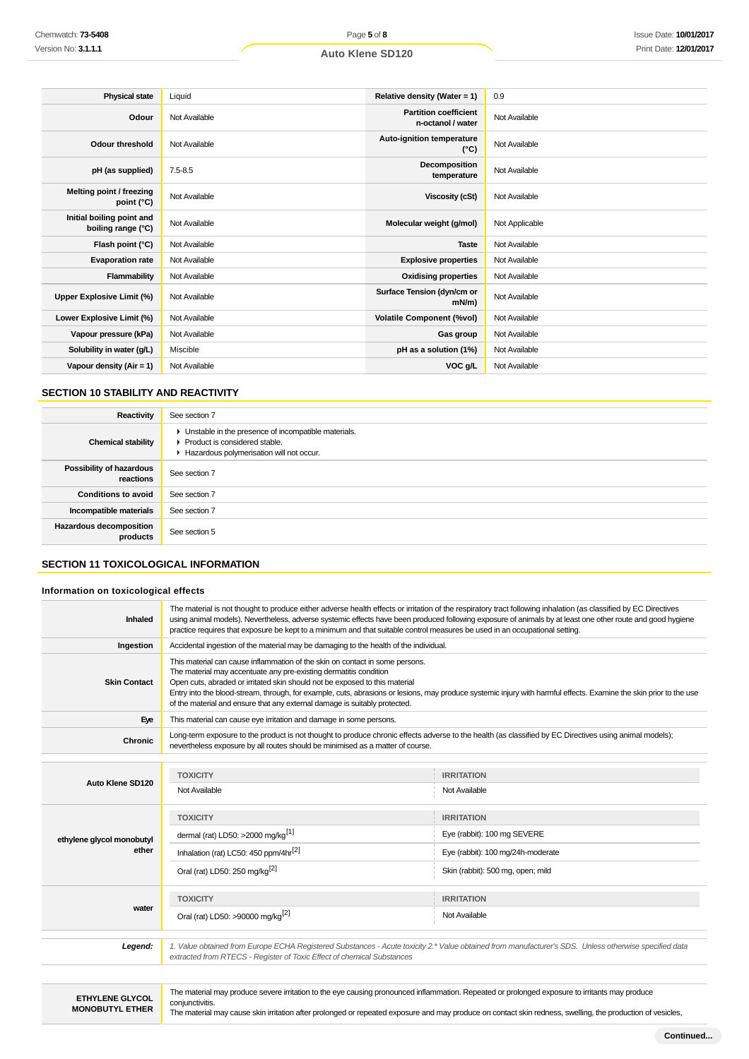| <b>Physical state</b>                           | Liquid        | Relative density (Water = 1)                      | 0.9            |
|-------------------------------------------------|---------------|---------------------------------------------------|----------------|
| Odour                                           | Not Available | <b>Partition coefficient</b><br>n-octanol / water | Not Available  |
| Odour threshold                                 | Not Available | Auto-ignition temperature<br>$(^{\circ}C)$        | Not Available  |
| pH (as supplied)                                | $7.5 - 8.5$   | Decomposition<br>temperature                      | Not Available  |
| Melting point / freezing<br>point (°C)          | Not Available | <b>Viscosity (cSt)</b>                            | Not Available  |
| Initial boiling point and<br>boiling range (°C) | Not Available | Molecular weight (g/mol)                          | Not Applicable |
| Flash point (°C)                                | Not Available | <b>Taste</b>                                      | Not Available  |
| <b>Evaporation rate</b>                         | Not Available | <b>Explosive properties</b>                       | Not Available  |
| Flammability                                    | Not Available | <b>Oxidising properties</b>                       | Not Available  |
| Upper Explosive Limit (%)                       | Not Available | Surface Tension (dyn/cm or<br>$mN/m$ )            | Not Available  |
| Lower Explosive Limit (%)                       | Not Available | <b>Volatile Component (%vol)</b>                  | Not Available  |
| Vapour pressure (kPa)                           | Not Available | Gas group                                         | Not Available  |
| Solubility in water (g/L)                       | Miscible      | pH as a solution (1%)                             | Not Available  |
| Vapour density $(Air = 1)$                      | Not Available | VOC g/L                                           | Not Available  |

## **SECTION 10 STABILITY AND REACTIVITY**

| Reactivity                                 | See section 7                                                                                                                      |
|--------------------------------------------|------------------------------------------------------------------------------------------------------------------------------------|
| <b>Chemical stability</b>                  | • Unstable in the presence of incompatible materials.<br>Product is considered stable.<br>Hazardous polymerisation will not occur. |
| Possibility of hazardous<br>reactions      | See section 7                                                                                                                      |
| <b>Conditions to avoid</b>                 | See section 7                                                                                                                      |
| Incompatible materials                     | See section 7                                                                                                                      |
| <b>Hazardous decomposition</b><br>products | See section 5                                                                                                                      |

# **SECTION 11 TOXICOLOGICAL INFORMATION**

## **Information on toxicological effects**

| Inhaled                   | The material is not thought to produce either adverse health effects or irritation of the respiratory tract following inhalation (as classified by EC Directives<br>using animal models). Nevertheless, adverse systemic effects have been produced following exposure of animals by at least one other route and good hygiene<br>practice requires that exposure be kept to a minimum and that suitable control measures be used in an occupational setting.                        |                                   |  |
|---------------------------|--------------------------------------------------------------------------------------------------------------------------------------------------------------------------------------------------------------------------------------------------------------------------------------------------------------------------------------------------------------------------------------------------------------------------------------------------------------------------------------|-----------------------------------|--|
| Ingestion                 | Accidental ingestion of the material may be damaging to the health of the individual.                                                                                                                                                                                                                                                                                                                                                                                                |                                   |  |
| <b>Skin Contact</b>       | This material can cause inflammation of the skin on contact in some persons.<br>The material may accentuate any pre-existing dermatitis condition<br>Open cuts, abraded or irritated skin should not be exposed to this material<br>Entry into the blood-stream, through, for example, cuts, abrasions or lesions, may produce systemic injury with harmful effects. Examine the skin prior to the use<br>of the material and ensure that any external damage is suitably protected. |                                   |  |
| Eye                       | This material can cause eye irritation and damage in some persons.                                                                                                                                                                                                                                                                                                                                                                                                                   |                                   |  |
| Chronic                   | Long-term exposure to the product is not thought to produce chronic effects adverse to the health (as classified by EC Directives using animal models);<br>nevertheless exposure by all routes should be minimised as a matter of course.                                                                                                                                                                                                                                            |                                   |  |
|                           |                                                                                                                                                                                                                                                                                                                                                                                                                                                                                      |                                   |  |
| Auto Klene SD120          | <b>TOXICITY</b>                                                                                                                                                                                                                                                                                                                                                                                                                                                                      | <b>IRRITATION</b>                 |  |
|                           | Not Available                                                                                                                                                                                                                                                                                                                                                                                                                                                                        | Not Available                     |  |
|                           | <b>TOXICITY</b>                                                                                                                                                                                                                                                                                                                                                                                                                                                                      | <b>IRRITATION</b>                 |  |
| ethylene glycol monobutyl | dermal (rat) LD50: >2000 mg/kg <sup>[1]</sup>                                                                                                                                                                                                                                                                                                                                                                                                                                        | Eye (rabbit): 100 mg SEVERE       |  |
| ether                     | Inhalation (rat) LC50: 450 ppm/4hr <sup>[2]</sup>                                                                                                                                                                                                                                                                                                                                                                                                                                    | Eye (rabbit): 100 mg/24h-moderate |  |
|                           | Oral (rat) LD50: 250 mg/kg <sup>[2]</sup>                                                                                                                                                                                                                                                                                                                                                                                                                                            | Skin (rabbit): 500 mg, open; mild |  |
|                           | <b>TOXICITY</b>                                                                                                                                                                                                                                                                                                                                                                                                                                                                      | <b>IRRITATION</b>                 |  |
| water                     | Oral (rat) LD50: >90000 mg/kg <sup>[2]</sup>                                                                                                                                                                                                                                                                                                                                                                                                                                         | Not Available                     |  |
|                           |                                                                                                                                                                                                                                                                                                                                                                                                                                                                                      |                                   |  |
| Legend:                   | 1. Value obtained from Europe ECHA Registered Substances - Acute toxicity 2.* Value obtained from manufacturer's SDS. Unless otherwise specified data<br>extracted from RTECS - Register of Toxic Effect of chemical Substances                                                                                                                                                                                                                                                      |                                   |  |
|                           |                                                                                                                                                                                                                                                                                                                                                                                                                                                                                      |                                   |  |
|                           |                                                                                                                                                                                                                                                                                                                                                                                                                                                                                      |                                   |  |

**ETHYLENE GLYCOL MONOBUTYL ETHER**

The material may produce severe irritation to the eye causing pronounced inflammation. Repeated or prolonged exposure to irritants may produce conjunctivitis.

The material may cause skin irritation after prolonged or repeated exposure and may produce on contact skin redness, swelling, the production of vesicles,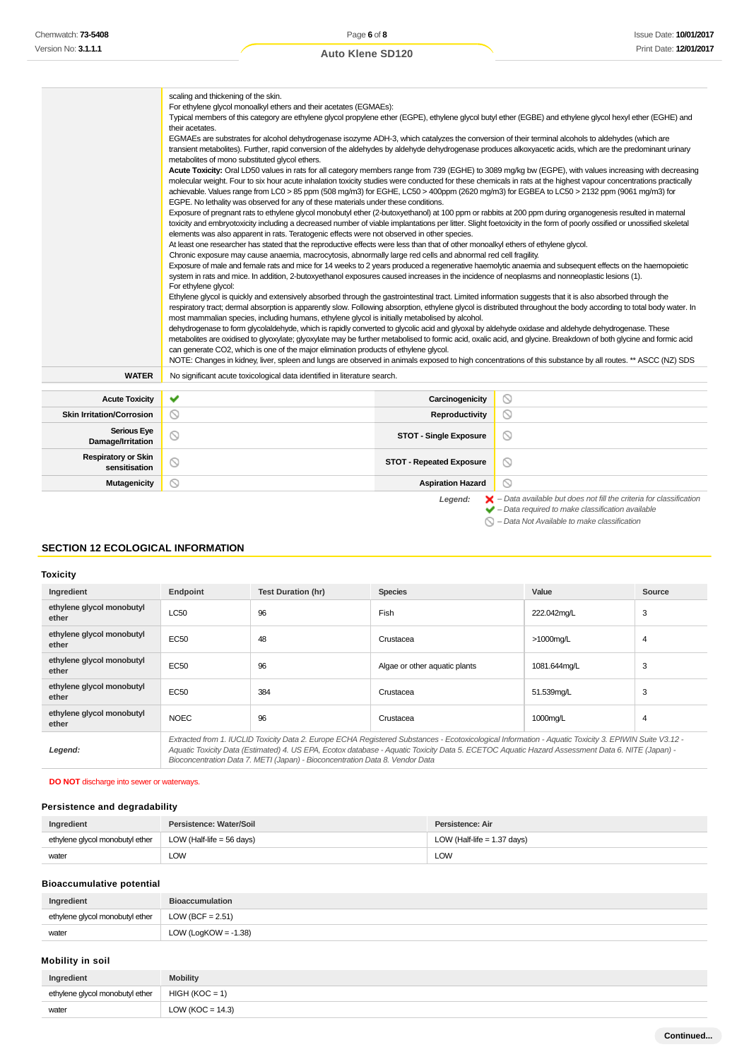|                                                                                                                                                                                                                                         | scaling and thickening of the skin.<br>For ethylene glycol monoalkyl ethers and their acetates (EGMAEs):<br>Typical members of this category are ethylene glycol propylene ether (EGPE), ethylene glycol butyl ether (EGBE) and ethylene glycol hexyl ether (EGHE) and<br>their acetates.<br>EGMAEs are substrates for alcohol dehydrogenase isozyme ADH-3, which catalyzes the conversion of their terminal alcohols to aldehydes (which are<br>transient metabolites). Further, rapid conversion of the aldehydes by aldehyde dehydrogenase produces alkoxyacetic acids, which are the predominant urinary<br>metabolites of mono substituted glycol ethers.<br>Acute Toxicity: Oral LD50 values in rats for all category members range from 739 (EGHE) to 3089 mg/kg bw (EGPE), with values increasing with decreasing<br>molecular weight. Four to six hour acute inhalation toxicity studies were conducted for these chemicals in rats at the highest vapour concentrations practically<br>achievable. Values range from LC0 > 85 ppm (508 mg/m3) for EGHE, LC50 > 400ppm (2620 mg/m3) for EGBEA to LC50 > 2132 ppm (9061 mg/m3) for<br>EGPE. No lethality was observed for any of these materials under these conditions.<br>Exposure of pregnant rats to ethylene glycol monobutyl ether (2-butoxyethanol) at 100 ppm or rabbits at 200 ppm during organogenesis resulted in maternal<br>toxicity and embryotoxicity including a decreased number of viable implantations per litter. Slight foetoxicity in the form of poorly ossified or unossified skeletal<br>elements was also apparent in rats. Teratogenic effects were not observed in other species.<br>At least one researcher has stated that the reproductive effects were less than that of other monoalkyl ethers of ethylene glycol.<br>Chronic exposure may cause anaemia, macrocytosis, abnormally large red cells and abnormal red cell fragility.<br>Exposure of male and female rats and mice for 14 weeks to 2 years produced a regenerative haemolytic anaemia and subsequent effects on the haemopoietic<br>system in rats and mice. In addition, 2-butoxyethanol exposures caused increases in the incidence of neoplasms and nonneoplastic lesions (1).<br>For ethylene glycol:<br>Ethylene glycol is quickly and extensively absorbed through the gastrointestinal tract. Limited information suggests that it is also absorbed through the<br>respiratory tract; dermal absorption is apparently slow. Following absorption, ethylene glycol is distributed throughout the body according to total body water. In<br>most mammalian species, including humans, ethylene glycol is initially metabolised by alcohol.<br>dehydrogenase to form glycolaldehyde, which is rapidly converted to glycolic acid and glyoxal by aldehyde oxidase and aldehyde dehydrogenase. These<br>metabolites are oxidised to glyoxylate; glyoxylate may be further metabolised to formic acid, oxalic acid, and glycine. Breakdown of both glycine and formic acid<br>can generate CO2, which is one of the major elimination products of ethylene glycol. |                                 |                |
|-----------------------------------------------------------------------------------------------------------------------------------------------------------------------------------------------------------------------------------------|----------------------------------------------------------------------------------------------------------------------------------------------------------------------------------------------------------------------------------------------------------------------------------------------------------------------------------------------------------------------------------------------------------------------------------------------------------------------------------------------------------------------------------------------------------------------------------------------------------------------------------------------------------------------------------------------------------------------------------------------------------------------------------------------------------------------------------------------------------------------------------------------------------------------------------------------------------------------------------------------------------------------------------------------------------------------------------------------------------------------------------------------------------------------------------------------------------------------------------------------------------------------------------------------------------------------------------------------------------------------------------------------------------------------------------------------------------------------------------------------------------------------------------------------------------------------------------------------------------------------------------------------------------------------------------------------------------------------------------------------------------------------------------------------------------------------------------------------------------------------------------------------------------------------------------------------------------------------------------------------------------------------------------------------------------------------------------------------------------------------------------------------------------------------------------------------------------------------------------------------------------------------------------------------------------------------------------------------------------------------------------------------------------------------------------------------------------------------------------------------------------------------------------------------------------------------------------------------------------------------------------------------------------------------------------------------------------------------------------------------------------------------------------------------------------------------------------------------------------------------------------------------------------------------------------------------------------------------------------------------------------------------------------------------------------------------------------------------------------------------------|---------------------------------|----------------|
| <b>WATER</b>                                                                                                                                                                                                                            | No significant acute toxicological data identified in literature search.                                                                                                                                                                                                                                                                                                                                                                                                                                                                                                                                                                                                                                                                                                                                                                                                                                                                                                                                                                                                                                                                                                                                                                                                                                                                                                                                                                                                                                                                                                                                                                                                                                                                                                                                                                                                                                                                                                                                                                                                                                                                                                                                                                                                                                                                                                                                                                                                                                                                                                                                                                                                                                                                                                                                                                                                                                                                                                                                                                                                                                                   |                                 |                |
| <b>Acute Toxicity</b>                                                                                                                                                                                                                   | ✔                                                                                                                                                                                                                                                                                                                                                                                                                                                                                                                                                                                                                                                                                                                                                                                                                                                                                                                                                                                                                                                                                                                                                                                                                                                                                                                                                                                                                                                                                                                                                                                                                                                                                                                                                                                                                                                                                                                                                                                                                                                                                                                                                                                                                                                                                                                                                                                                                                                                                                                                                                                                                                                                                                                                                                                                                                                                                                                                                                                                                                                                                                                          | Carcinogenicity                 | ◎              |
| <b>Skin Irritation/Corrosion</b>                                                                                                                                                                                                        | $\circledcirc$                                                                                                                                                                                                                                                                                                                                                                                                                                                                                                                                                                                                                                                                                                                                                                                                                                                                                                                                                                                                                                                                                                                                                                                                                                                                                                                                                                                                                                                                                                                                                                                                                                                                                                                                                                                                                                                                                                                                                                                                                                                                                                                                                                                                                                                                                                                                                                                                                                                                                                                                                                                                                                                                                                                                                                                                                                                                                                                                                                                                                                                                                                             | Reproductivity                  | ◎              |
| <b>Serious Eye</b><br>Damage/Irritation                                                                                                                                                                                                 | $\circledcirc$                                                                                                                                                                                                                                                                                                                                                                                                                                                                                                                                                                                                                                                                                                                                                                                                                                                                                                                                                                                                                                                                                                                                                                                                                                                                                                                                                                                                                                                                                                                                                                                                                                                                                                                                                                                                                                                                                                                                                                                                                                                                                                                                                                                                                                                                                                                                                                                                                                                                                                                                                                                                                                                                                                                                                                                                                                                                                                                                                                                                                                                                                                             | <b>STOT - Single Exposure</b>   | $\circledcirc$ |
| <b>Respiratory or Skin</b><br>sensitisation                                                                                                                                                                                             | $\circledcirc$                                                                                                                                                                                                                                                                                                                                                                                                                                                                                                                                                                                                                                                                                                                                                                                                                                                                                                                                                                                                                                                                                                                                                                                                                                                                                                                                                                                                                                                                                                                                                                                                                                                                                                                                                                                                                                                                                                                                                                                                                                                                                                                                                                                                                                                                                                                                                                                                                                                                                                                                                                                                                                                                                                                                                                                                                                                                                                                                                                                                                                                                                                             | <b>STOT - Repeated Exposure</b> | $\circledcirc$ |
| <b>Mutagenicity</b>                                                                                                                                                                                                                     | ര                                                                                                                                                                                                                                                                                                                                                                                                                                                                                                                                                                                                                                                                                                                                                                                                                                                                                                                                                                                                                                                                                                                                                                                                                                                                                                                                                                                                                                                                                                                                                                                                                                                                                                                                                                                                                                                                                                                                                                                                                                                                                                                                                                                                                                                                                                                                                                                                                                                                                                                                                                                                                                                                                                                                                                                                                                                                                                                                                                                                                                                                                                                          | <b>Aspiration Hazard</b>        | $\circ$        |
| $\blacktriangleright$ - Data available but does not fill the criteria for classification<br>Legend:<br>$\blacktriangleright$ - Data required to make classification available<br>$\bigcirc$ - Data Not Available to make classification |                                                                                                                                                                                                                                                                                                                                                                                                                                                                                                                                                                                                                                                                                                                                                                                                                                                                                                                                                                                                                                                                                                                                                                                                                                                                                                                                                                                                                                                                                                                                                                                                                                                                                                                                                                                                                                                                                                                                                                                                                                                                                                                                                                                                                                                                                                                                                                                                                                                                                                                                                                                                                                                                                                                                                                                                                                                                                                                                                                                                                                                                                                                            |                                 |                |

# **SECTION 12 ECOLOGICAL INFORMATION**

**Toxicity**

| Ingredient                         | Endpoint                                                                                                                                                                                                                                                                                                                                                                                 | <b>Test Duration (hr)</b> | <b>Species</b>                | Value        | Source         |
|------------------------------------|------------------------------------------------------------------------------------------------------------------------------------------------------------------------------------------------------------------------------------------------------------------------------------------------------------------------------------------------------------------------------------------|---------------------------|-------------------------------|--------------|----------------|
| ethylene glycol monobutyl<br>ether | <b>LC50</b>                                                                                                                                                                                                                                                                                                                                                                              | 96                        | Fish                          | 222.042mg/L  | 3              |
| ethylene glycol monobutyl<br>ether | <b>EC50</b>                                                                                                                                                                                                                                                                                                                                                                              | 48                        | Crustacea                     | >1000mg/L    | $\overline{4}$ |
| ethylene glycol monobutyl<br>ether | <b>EC50</b>                                                                                                                                                                                                                                                                                                                                                                              | 96                        | Algae or other aquatic plants | 1081.644mg/L | 3              |
| ethylene glycol monobutyl<br>ether | <b>EC50</b>                                                                                                                                                                                                                                                                                                                                                                              | 384                       | Crustacea                     | 51.539mg/L   | 3              |
| ethylene glycol monobutyl<br>ether | <b>NOEC</b>                                                                                                                                                                                                                                                                                                                                                                              | 96                        | Crustacea                     | 1000mg/L     | 4              |
| Legend:                            | Extracted from 1. IUCLID Toxicity Data 2. Europe ECHA Registered Substances - Ecotoxicological Information - Aguatic Toxicity 3. EPIWIN Suite V3.12 -<br>Aquatic Toxicity Data (Estimated) 4. US EPA, Ecotox database - Aquatic Toxicity Data 5. ECETOC Aquatic Hazard Assessment Data 6. NITE (Japan) -<br>Bioconcentration Data 7. METI (Japan) - Bioconcentration Data 8. Vendor Data |                           |                               |              |                |

# **DO NOT** discharge into sewer or waterways.

# **Persistence and degradability**

| Ingredient                      | Persistence: Water/Soil   | Persistence: Air              |
|---------------------------------|---------------------------|-------------------------------|
| ethylene glycol monobutyl ether | LOW (Half-life = 56 days) | LOW (Half-life $= 1.37$ days) |
| water                           | LOW                       | LOW                           |

# **Bioaccumulative potential**

| Ingredient                      | <b>Bioaccumulation</b>  |
|---------------------------------|-------------------------|
| ethylene glycol monobutyl ether | LOW (BCF = $2.51$ )     |
| water                           | LOW (LogKOW = $-1.38$ ) |

# **Mobility in soil**

| Ingredient                                       | <b>Mobility</b>      |
|--------------------------------------------------|----------------------|
| ethylene glycol monobutyl ether   HIGH (KOC = 1) |                      |
| water                                            | LOW ( $KOC = 14.3$ ) |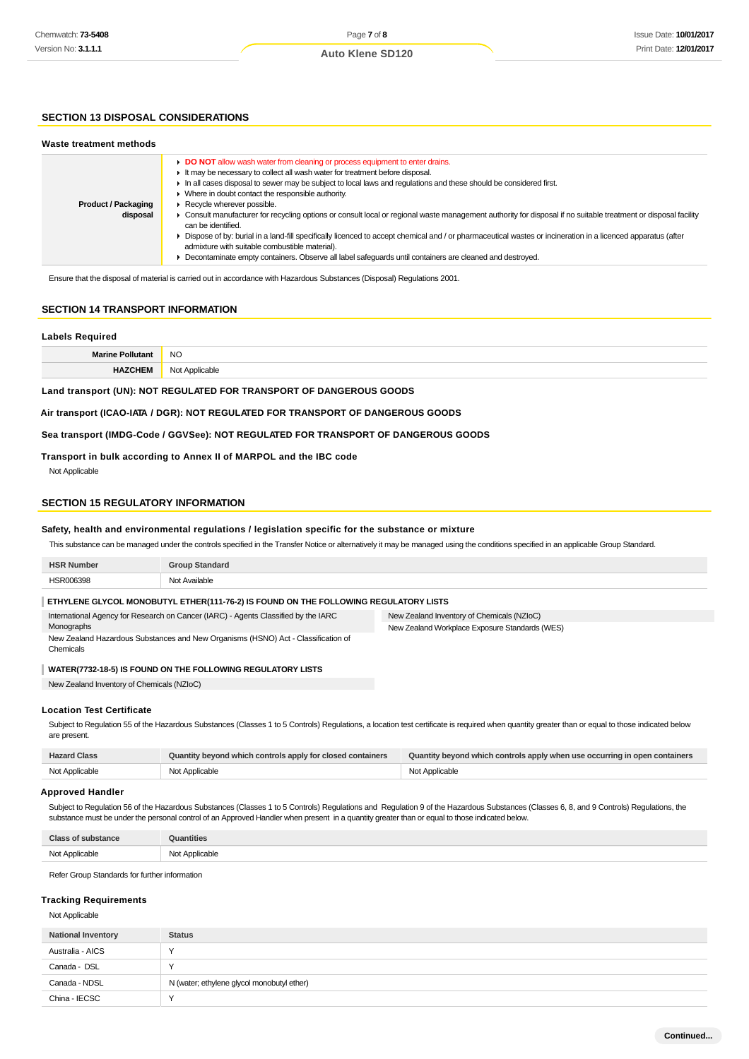## **SECTION 13 DISPOSAL CONSIDERATIONS**

| Waste treatment methods                |                                                                                                                                                                                                                                                                                                                                                                                                                                                                                                                                                                                                                                                                                                                                                                                                                                                                                                   |
|----------------------------------------|---------------------------------------------------------------------------------------------------------------------------------------------------------------------------------------------------------------------------------------------------------------------------------------------------------------------------------------------------------------------------------------------------------------------------------------------------------------------------------------------------------------------------------------------------------------------------------------------------------------------------------------------------------------------------------------------------------------------------------------------------------------------------------------------------------------------------------------------------------------------------------------------------|
| <b>Product / Packaging</b><br>disposal | DO NOT allow wash water from cleaning or process equipment to enter drains.<br>It may be necessary to collect all wash water for treatment before disposal.<br>In all cases disposal to sewer may be subject to local laws and requlations and these should be considered first.<br>• Where in doubt contact the responsible authority.<br>▶ Recycle wherever possible.<br>• Consult manufacturer for recycling options or consult local or regional waste management authority for disposal if no suitable treatment or disposal facility<br>can be identified.<br>▶ Dispose of by: burial in a land-fill specifically licenced to accept chemical and / or pharmaceutical wastes or incineration in a licenced apparatus (after<br>admixture with suitable combustible material).<br>• Decontaminate empty containers. Observe all label safeguards until containers are cleaned and destroyed. |

Ensure that the disposal of material is carried out in accordance with Hazardous Substances (Disposal) Regulations 2001.

#### **SECTION 14 TRANSPORT INFORMATION**

#### **Labels Required**

**Marine Pollutant** NO **HAZCHEM** Not Applicable

**Land transport (UN): NOT REGULATED FOR TRANSPORT OF DANGEROUS GOODS**

**Air transport (ICAO-IATA / DGR): NOT REGULATED FOR TRANSPORT OF DANGEROUS GOODS**

#### **Sea transport (IMDG-Code / GGVSee): NOT REGULATED FOR TRANSPORT OF DANGEROUS GOODS**

#### **Transport in bulk according to Annex II of MARPOL and the IBC code**

Not Applicable

#### **SECTION 15 REGULATORY INFORMATION**

#### **Safety, health and environmental regulations / legislation specific for the substance or mixture**

This substance can be managed under the controls specified in the Transfer Notice or alternatively it may be managed using the conditions specified in an applicable Group Standard.

| <b>HSR Number</b>                                                                                | <b>Group Standard</b>                                                                |                                                |
|--------------------------------------------------------------------------------------------------|--------------------------------------------------------------------------------------|------------------------------------------------|
| HSR006398                                                                                        | Not Available                                                                        |                                                |
|                                                                                                  | ETHYLENE GLYCOL MONOBUTYL ETHER(111-76-2) IS FOUND ON THE FOLLOWING REGULATORY LISTS |                                                |
| International Agency for Research on Cancer (IARC) - Agents Classified by the IARC<br>Monographs |                                                                                      | New Zealand Inventory of Chemicals (NZIoC)     |
|                                                                                                  |                                                                                      | New Zealand Workplace Exposure Standards (WES) |
| New Zealand Hazardous Substances and New Organisms (HSNO) Act - Classification of<br>Chemicals   |                                                                                      |                                                |
| WATER(7732-18-5) IS FOUND ON THE FOLLOWING REGULATORY LISTS                                      |                                                                                      |                                                |

New Zealand Inventory of Chemicals (NZIoC)

#### **Location Test Certificate**

Subject to Regulation 55 of the Hazardous Substances (Classes 1 to 5 Controls) Regulations, a location test certificate is required when quantity greater than or equal to those indicated below are present.

| <b>Hazard Class</b> | Quantity beyond which controls apply for closed containers | Quantity beyond which controls apply when use occurring in open containers |
|---------------------|------------------------------------------------------------|----------------------------------------------------------------------------|
| Not Applicable      | Not Applicable                                             | Not Applicable                                                             |

#### **Approved Handler**

Subject to Regulation 56 of the Hazardous Substances (Classes 1 to 5 Controls) Regulations and Regulation 9 of the Hazardous Substances (Classes 6, 8, and 9 Controls) Regulations, the substance must be under the personal control of an Approved Handler when present in a quantity greater than or equal to those indicated below.

| Close<br>жансе | antities                 |
|----------------|--------------------------|
| Not Applicable | Applicable<br>.<br>w<br> |

Refer Group Standards for further information

#### **Tracking Requirements**

Not Applicable

| <b>National Inventory</b> | <b>Status</b>                              |
|---------------------------|--------------------------------------------|
| Australia - AICS          |                                            |
| Canada - DSL              |                                            |
| Canada - NDSL             | N (water; ethylene glycol monobutyl ether) |
| China - IECSC             |                                            |